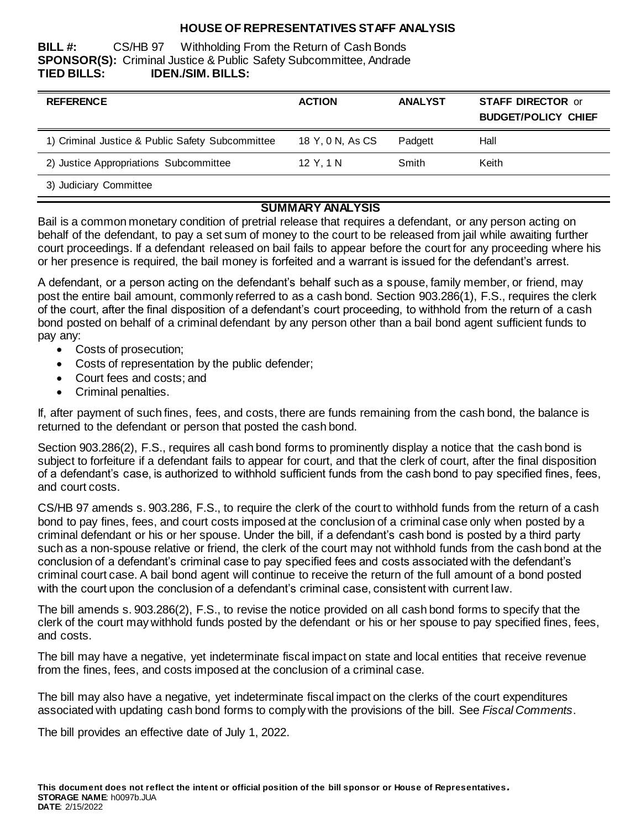# **HOUSE OF REPRESENTATIVES STAFF ANALYSIS**

**BILL #:** CS/HB 97 Withholding From the Return of Cash Bonds **SPONSOR(S):** Criminal Justice & Public Safety Subcommittee, Andrade **TIED BILLS: IDEN./SIM. BILLS:**

| <b>REFERENCE</b>                                 | <b>ACTION</b>    | <b>ANALYST</b> | <b>STAFF DIRECTOR or</b><br><b>BUDGET/POLICY CHIEF</b> |
|--------------------------------------------------|------------------|----------------|--------------------------------------------------------|
| 1) Criminal Justice & Public Safety Subcommittee | 18 Y, 0 N, As CS | Padgett        | Hall                                                   |
| 2) Justice Appropriations Subcommittee           | 12 Y.1 N         | Smith          | Keith                                                  |
| 3) Judiciary Committee                           |                  |                |                                                        |

# **SUMMARY ANALYSIS**

Bail is a common monetary condition of pretrial release that requires a defendant, or any person acting on behalf of the defendant, to pay a set sum of money to the court to be released from jail while awaiting further court proceedings. If a defendant released on bail fails to appear before the court for any proceeding where his or her presence is required, the bail money is forfeited and a warrant is issued for the defendant's arrest.

A defendant, or a person acting on the defendant's behalf such as a spouse, family member, or friend, may post the entire bail amount, commonly referred to as a cash bond. Section 903.286(1), F.S., requires the clerk of the court, after the final disposition of a defendant's court proceeding, to withhold from the return of a cash bond posted on behalf of a criminal defendant by any person other than a bail bond agent sufficient funds to pay any:

- Costs of prosecution;
- Costs of representation by the public defender;
- Court fees and costs: and
- Criminal penalties.

If, after payment of such fines, fees, and costs, there are funds remaining from the cash bond, the balance is returned to the defendant or person that posted the cash bond.

Section 903.286(2), F.S., requires all cash bond forms to prominently display a notice that the cash bond is subject to forfeiture if a defendant fails to appear for court, and that the clerk of court, after the final disposition of a defendant's case, is authorized to withhold sufficient funds from the cash bond to pay specified fines, fees, and court costs.

CS/HB 97 amends s. 903.286, F.S., to require the clerk of the court to withhold funds from the return of a cash bond to pay fines, fees, and court costs imposed at the conclusion of a criminal case only when posted by a criminal defendant or his or her spouse. Under the bill, if a defendant's cash bond is posted by a third party such as a non-spouse relative or friend, the clerk of the court may not withhold funds from the cash bond at the conclusion of a defendant's criminal case to pay specified fees and costs associated with the defendant's criminal court case. A bail bond agent will continue to receive the return of the full amount of a bond posted with the court upon the conclusion of a defendant's criminal case, consistent with current law.

The bill amends s. 903.286(2), F.S., to revise the notice provided on all cash bond forms to specify that the clerk of the court may withhold funds posted by the defendant or his or her spouse to pay specified fines, fees, and costs.

The bill may have a negative, yet indeterminate fiscal impact on state and local entities that receive revenue from the fines, fees, and costs imposed at the conclusion of a criminal case.

The bill may also have a negative, yet indeterminate fiscal impact on the clerks of the court expenditures associated with updating cash bond forms to comply with the provisions of the bill. See *Fiscal Comments*.

The bill provides an effective date of July 1, 2022.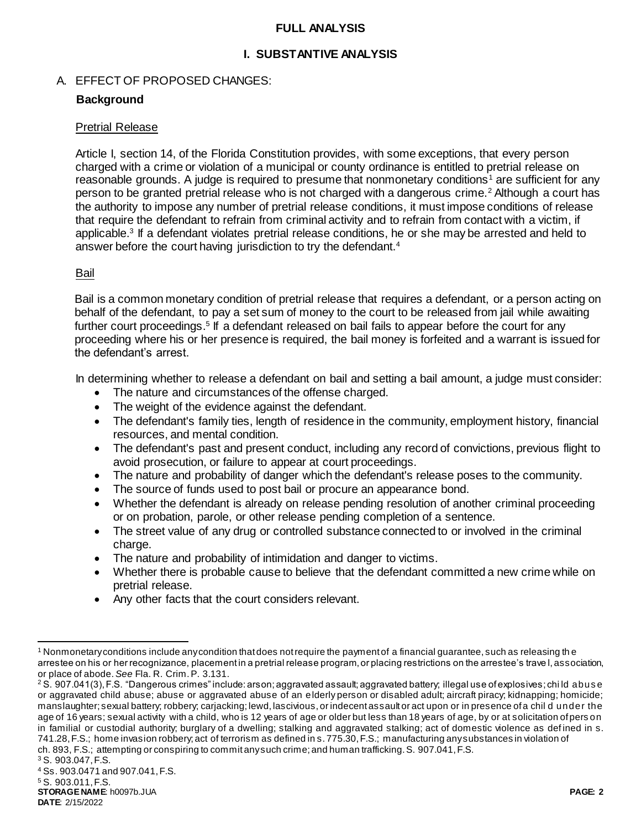### **FULL ANALYSIS**

## **I. SUBSTANTIVE ANALYSIS**

# A. EFFECT OF PROPOSED CHANGES:

# **Background**

### Pretrial Release

Article I, section 14, of the Florida Constitution provides, with some exceptions, that every person charged with a crime or violation of a municipal or county ordinance is entitled to pretrial release on reasonable grounds. A judge is required to presume that nonmonetary conditions<sup>1</sup> are sufficient for any person to be granted pretrial release who is not charged with a dangerous crime.<sup>2</sup> Although a court has the authority to impose any number of pretrial release conditions, it must impose conditions of release that require the defendant to refrain from criminal activity and to refrain from contact with a victim, if applicable.<sup>3</sup> If a defendant violates pretrial release conditions, he or she may be arrested and held to answer before the court having jurisdiction to try the defendant.<sup>4</sup>

#### Bail

Bail is a common monetary condition of pretrial release that requires a defendant, or a person acting on behalf of the defendant, to pay a set sum of money to the court to be released from jail while awaiting further court proceedings.<sup>5</sup> If a defendant released on bail fails to appear before the court for any proceeding where his or her presence is required, the bail money is forfeited and a warrant is issued for the defendant's arrest.

In determining whether to release a defendant on bail and setting a bail amount, a judge must consider:

- The nature and circumstances of the offense charged.
- The weight of the evidence against the defendant.
- The defendant's family ties, length of residence in the community, employment history, financial resources, and mental condition.
- The defendant's past and present conduct, including any record of convictions, previous flight to avoid prosecution, or failure to appear at court proceedings.
- The nature and probability of danger which the defendant's release poses to the community.
- The source of funds used to post bail or procure an appearance bond.
- Whether the defendant is already on release pending resolution of another criminal proceeding or on probation, parole, or other release pending completion of a sentence.
- The street value of any drug or controlled substance connected to or involved in the criminal charge.
- The nature and probability of intimidation and danger to victims.
- Whether there is probable cause to believe that the defendant committed a new crime while on pretrial release.
- Any other facts that the court considers relevant.

l <sup>1</sup> Nonmonetary conditions include any condition that does not require the payment of a financial guarantee, such as releasing the arrestee on his or her recognizance, placement in a pretrial release program, or placing restrictions on the arrestee's trave l, association, or place of abode. *See* Fla. R. Crim. P. 3.131.

<sup>&</sup>lt;sup>2</sup> S. 907.041(3), F.S. "Dangerous crimes" include: arson; aggravated assault; aggravated battery; illegal use of explosives; chi ld abus e or aggravated child abuse; abuse or aggravated abuse of an elderly person or disabled adult; aircraft piracy; kidnapping; homicide; manslaughter; sexual battery; robbery; carjacking; lewd, lascivious, or indecent assault or act upon or in presence of a chil d under the age of 16 years; sexual activity with a child, who is 12 years of age or older but less than 18 years of age, by or at solicitation of pers on in familial or custodial authority; burglary of a dwelling; stalking and aggravated stalking; act of domestic violence as def ined in s. 741.28, F.S.; home invasion robbery; act of terrorism as defined in s. 775.30, F.S.; manufacturing any substances in violation of ch. 893, F.S.; attempting or conspiring to commit any such crime; and human trafficking. S. 907.041, F.S.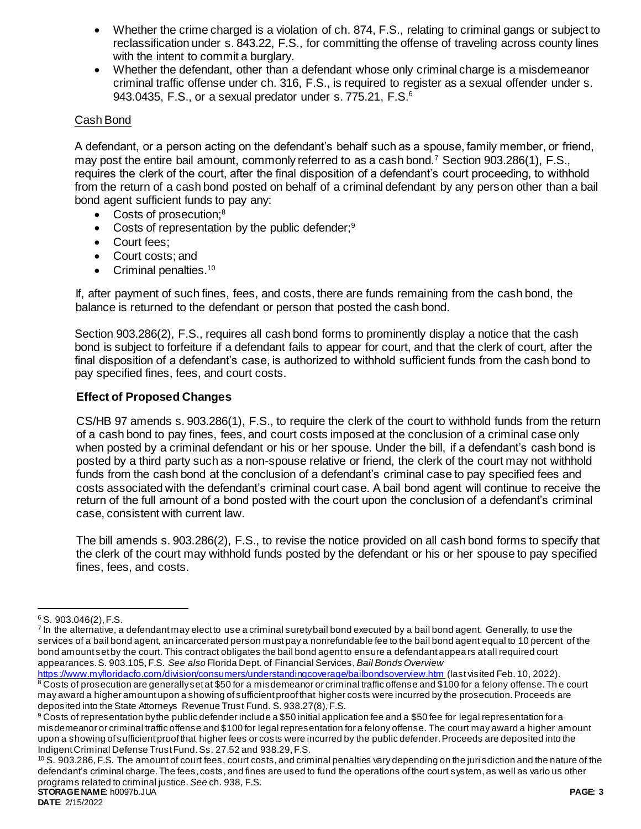- Whether the crime charged is a violation of ch. 874, F.S., relating to criminal gangs or subject to reclassification under s. 843.22, F.S., for committing the offense of traveling across county lines with the intent to commit a burglary.
- Whether the defendant, other than a defendant whose only criminal charge is a misdemeanor criminal traffic offense under ch. 316, F.S., is required to register as a sexual offender under s. 943.0435, F.S., or a sexual predator under s. 775.21, F.S.<sup>6</sup>

# Cash Bond

A defendant, or a person acting on the defendant's behalf such as a spouse, family member, or friend, may post the entire bail amount, commonly referred to as a cash bond.<sup>7</sup> Section 903.286(1), F.S., requires the clerk of the court, after the final disposition of a defendant's court proceeding, to withhold from the return of a cash bond posted on behalf of a criminal defendant by any person other than a bail bond agent sufficient funds to pay any:

- Costs of prosecution:<sup>8</sup>
- Costs of representation by the public defender;<sup>9</sup>
- Court fees:
- Court costs: and
- $\bullet$  Criminal penalties.<sup>10</sup>

If, after payment of such fines, fees, and costs, there are funds remaining from the cash bond, the balance is returned to the defendant or person that posted the cash bond.

Section 903.286(2), F.S., requires all cash bond forms to prominently display a notice that the cash bond is subject to forfeiture if a defendant fails to appear for court, and that the clerk of court, after the final disposition of a defendant's case, is authorized to withhold sufficient funds from the cash bond to pay specified fines, fees, and court costs.

# **Effect of Proposed Changes**

CS/HB 97 amends s. 903.286(1), F.S., to require the clerk of the court to withhold funds from the return of a cash bond to pay fines, fees, and court costs imposed at the conclusion of a criminal case only when posted by a criminal defendant or his or her spouse. Under the bill, if a defendant's cash bond is posted by a third party such as a non-spouse relative or friend, the clerk of the court may not withhold funds from the cash bond at the conclusion of a defendant's criminal case to pay specified fees and costs associated with the defendant's criminal court case. A bail bond agent will continue to receive the return of the full amount of a bond posted with the court upon the conclusion of a defendant's criminal case, consistent with current law.

The bill amends s. 903.286(2), F.S., to revise the notice provided on all cash bond forms to specify that the clerk of the court may withhold funds posted by the defendant or his or her spouse to pay specified fines, fees, and costs.

 $\overline{a}$ 

 $6$  S. 903.046(2), F.S.

<sup>&</sup>lt;sup>7</sup> In the alternative, a defendant may elect to use a criminal surety bail bond executed by a bail bond agent. Generally, to use the services of a bail bond agent, an incarcerated person must pay a nonrefundable fee to the bail bond agent equal to 10 percent of the bond amount set by the court. This contract obligates the bail bond agent to ensure a defendant appea rs at all required court appearances. S. 903.105, F.S. *See also* Florida Dept. of Financial Services, *Bail Bonds Overview* 

<https://www.myfloridacfo.com/division/consumers/understandingcoverage/bailbondsoverview.htm> (last visited Feb. 10, 2022). 8 Costs of prosecution are generally set at \$50 for a misdemeanor or criminal traffic offense and \$100 for a felony offense. The court may award a higher amount upon a showing of sufficient proof that higher costs were incurred by the prosecution. Proceeds are deposited into the State Attorneys Revenue Trust Fund. S. 938.27(8), F.S.

<sup>9</sup> Costs of representation by the public defender include a \$50 initial application fee and a \$50 fee for legal representation for a misdemeanor or criminal traffic offense and \$100 for legal representation for a felony offense. The court may award a higher amount upon a showing of sufficient proof that higher fees or costs were incurred by the public defender. Proceeds are deposited into the Indigent Criminal Defense Trust Fund. Ss. 27.52 and 938.29, F.S.

**STORAGE NAME**: h0097b.JUA **PAGE: 3** <sup>10</sup> S. 903.286, F.S. The amount of court fees, court costs, and criminal penalties vary depending on the juri sdiction and the nature of the defendant's criminal charge. The fees, costs, and fines are used to fund the operations of the court system, as well as vario us other programs related to criminal justice. *See* ch. 938, F.S.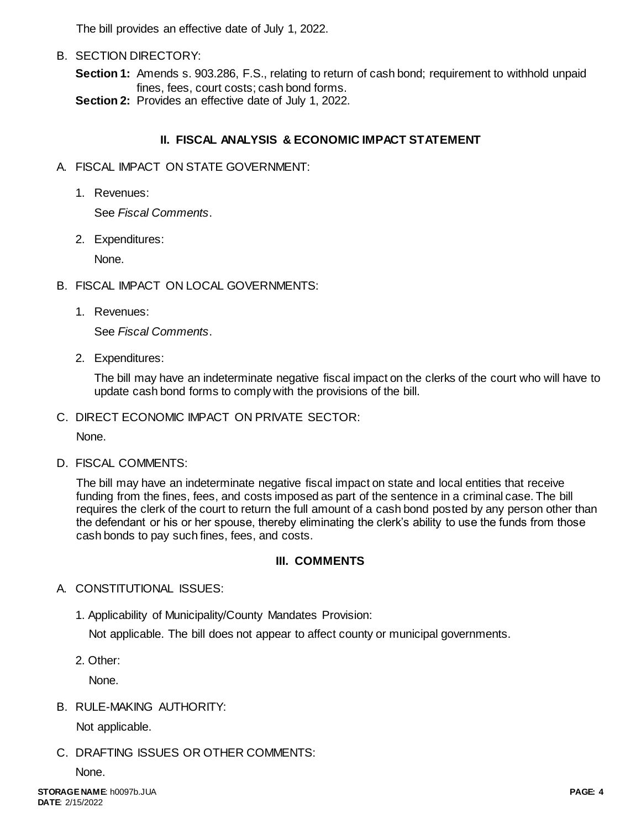The bill provides an effective date of July 1, 2022.

B. SECTION DIRECTORY:

**Section 1:** Amends s. 903.286, F.S., relating to return of cash bond; requirement to withhold unpaid fines, fees, court costs; cash bond forms.

**Section 2:** Provides an effective date of July 1, 2022.

# **II. FISCAL ANALYSIS & ECONOMIC IMPACT STATEMENT**

- A. FISCAL IMPACT ON STATE GOVERNMENT:
	- 1. Revenues:

See *Fiscal Comments*.

2. Expenditures:

None.

- B. FISCAL IMPACT ON LOCAL GOVERNMENTS:
	- 1. Revenues:

See *Fiscal Comments*.

2. Expenditures:

The bill may have an indeterminate negative fiscal impact on the clerks of the court who will have to update cash bond forms to comply with the provisions of the bill.

C. DIRECT ECONOMIC IMPACT ON PRIVATE SECTOR:

None.

D. FISCAL COMMENTS:

The bill may have an indeterminate negative fiscal impact on state and local entities that receive funding from the fines, fees, and costs imposed as part of the sentence in a criminal case. The bill requires the clerk of the court to return the full amount of a cash bond posted by any person other than the defendant or his or her spouse, thereby eliminating the clerk's ability to use the funds from those cash bonds to pay such fines, fees, and costs.

## **III. COMMENTS**

# A. CONSTITUTIONAL ISSUES:

1. Applicability of Municipality/County Mandates Provision:

Not applicable. The bill does not appear to affect county or municipal governments.

2. Other:

None.

B. RULE-MAKING AUTHORITY:

Not applicable.

C. DRAFTING ISSUES OR OTHER COMMENTS:

None.